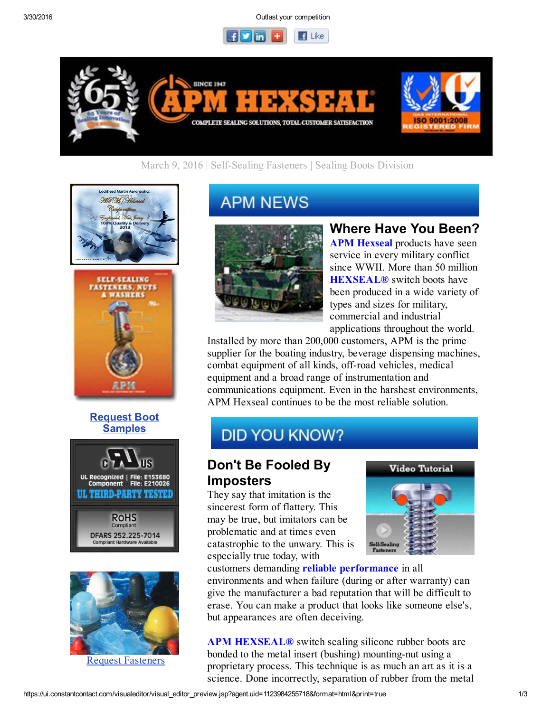3/30/2016 Outlast your competition





## March 9, 2016 | Self-Sealing Fasteners | Sealing Boots Division





#### Request Boot **Samples**





Request Fasteners

# **APM NEWS**



# Where Have You Been?

**APM Hexseal** products have seen service in every military conflict since WWII. More than 50 million **HEXSEAL®** switch boots have been produced in a wide variety of types and sizes for military, commercial and industrial applications throughout the world.

Installed by more than 200,000 customers, APM is the prime supplier for the boating industry, beverage dispensing machines, combat equipment of all kinds, off-road vehicles, medical equipment and a broad range of instrumentation and communications equipment. Even in the harshest environments, APM Hexseal continues to be the most reliable solution.

# **DID YOU KNOW?**

# Don't Be Fooled By Imposters

They say that imitation is the sincerest form of flattery. This may be true, but imitators can be problematic and at times even catastrophic to the unwary. This is especially true today, with



customers demanding reliable performance in all environments and when failure (during or after warranty) can give the manufacturer a bad reputation that will be difficult to erase. You can make a product that looks like someone else's, but appearances are often deceiving.

APM HEXSEAL<sup>®</sup> switch sealing silicone rubber boots are bonded to the metal insert (bushing) mounting-nut using a proprietary process. This technique is as much an art as it is a science. Done incorrectly, separation of rubber from the metal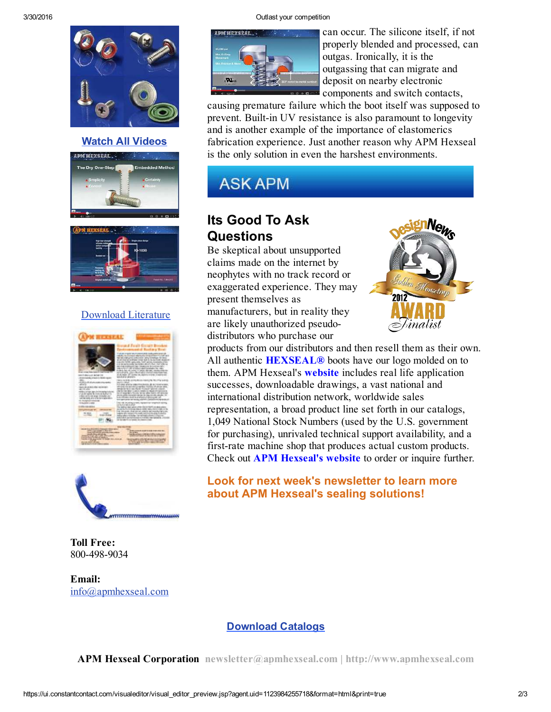

#### Watch All Videos





### Download Literature





Toll Free: 800-498-9034

Email: info@apmhexseal.com



can occur. The silicone itself, if not properly blended and processed, can outgas. Ironically, it is the outgassing that can migrate and deposit on nearby electronic components and switch contacts,

causing premature failure which the boot itself was supposed to prevent. Built-in UV resistance is also paramount to longevity and is another example of the importance of elastomerics fabrication experience. Just another reason why APM Hexseal is the only solution in even the harshest environments.



# Its Good To Ask **Questions**

Be skeptical about unsupported claims made on the internet by neophytes with no track record or exaggerated experience. They may present themselves as manufacturers, but in reality they are likely unauthorized pseudodistributors who purchase our



products from our distributors and then resell them as their own. All authentic **HEXSEAL®** boots have our logo molded on to them. APM Hexseal's **website** includes real life application successes, downloadable drawings, a vast national and international distribution network, worldwide sales representation, a broad product line set forth in our catalogs, 1,049 National Stock Numbers (used by the U.S. government for purchasing), unrivaled technical support availability, and a first-rate machine shop that produces actual custom products. Check out APM Hexseal's website to order or inquire further.

## Look for next week's newsletter to learn more about APM Hexseal's sealing solutions!

### Download Catalogs

APM Hexseal Corporation newsletter@apmhexseal.com | http://www.apmhexseal.com